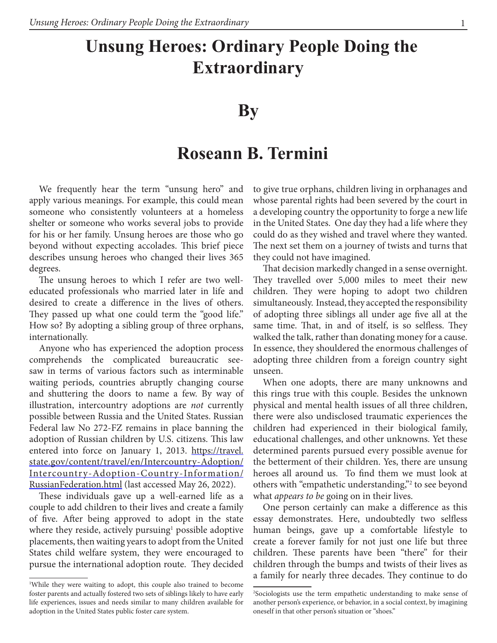## **Unsung Heroes: Ordinary People Doing the Extraordinary**

## **By**

## **Roseann B. Termini**

We frequently hear the term "unsung hero" and apply various meanings. For example, this could mean someone who consistently volunteers at a homeless shelter or someone who works several jobs to provide for his or her family. Unsung heroes are those who go beyond without expecting accolades. This brief piece describes unsung heroes who changed their lives 365 degrees.

The unsung heroes to which I refer are two welleducated professionals who married later in life and desired to create a difference in the lives of others. They passed up what one could term the "good life." How so? By adopting a sibling group of three orphans, internationally.

Anyone who has experienced the adoption process comprehends the complicated bureaucratic seesaw in terms of various factors such as interminable waiting periods, countries abruptly changing course and shuttering the doors to name a few. By way of illustration, intercountry adoptions are *not* currently possible between Russia and the United States. Russian Federal law No 272-FZ remains in place banning the adoption of Russian children by U.S. citizens. This law entered into force on January 1, 2013. https://travel. state.gov/content/travel/en/Intercountry-Adoption/ Intercountry-Adoption-Country-Information/ RussianFederation.html (last accessed May 26, 2022).

These individuals gave up a well-earned life as a couple to add children to their lives and create a family of five. After being approved to adopt in the state where they reside, actively pursuing<sup>1</sup> possible adoptive placements, then waiting years to adopt from the United States child welfare system, they were encouraged to pursue the international adoption route. They decided

to give true orphans, children living in orphanages and whose parental rights had been severed by the court in a developing country the opportunity to forge a new life in the United States. One day they had a life where they could do as they wished and travel where they wanted. The next set them on a journey of twists and turns that they could not have imagined.

That decision markedly changed in a sense overnight. They travelled over 5,000 miles to meet their new children. They were hoping to adopt two children simultaneously. Instead, they accepted the responsibility of adopting three siblings all under age five all at the same time. That, in and of itself, is so selfless. They walked the talk, rather than donating money for a cause. In essence, they shouldered the enormous challenges of adopting three children from a foreign country sight unseen.

When one adopts, there are many unknowns and this rings true with this couple. Besides the unknown physical and mental health issues of all three children, there were also undisclosed traumatic experiences the children had experienced in their biological family, educational challenges, and other unknowns. Yet these determined parents pursued every possible avenue for the betterment of their children. Yes, there are unsung heroes all around us. To find them we must look at others with "empathetic understanding,"2 to see beyond what *appears to be* going on in their lives.

One person certainly can make a difference as this essay demonstrates. Here, undoubtedly two selfless human beings, gave up a comfortable lifestyle to create a forever family for not just one life but three children. These parents have been "there" for their children through the bumps and twists of their lives as a family for nearly three decades. They continue to do

<sup>1</sup> While they were waiting to adopt, this couple also trained to become foster parents and actually fostered two sets of siblings likely to have early life experiences, issues and needs similar to many children available for adoption in the United States public foster care system.

<sup>2</sup> Sociologists use the term empathetic understanding to make sense of another person's experience, or behavior, in a social context, by imagining oneself in that other person's situation or "shoes."